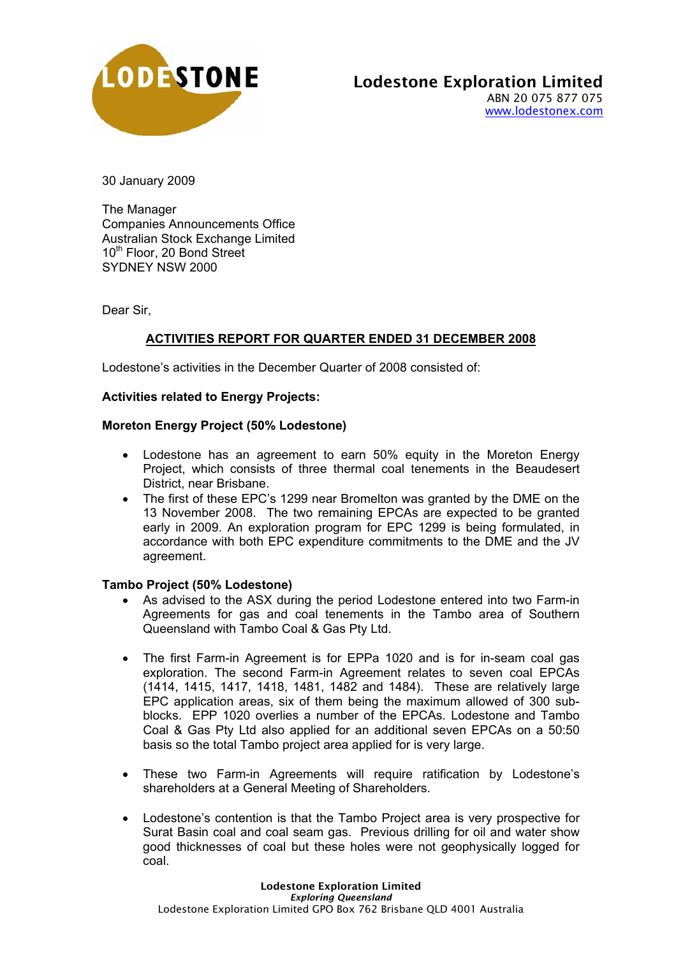

30 January 2009

The Manager Companies Announcements Office Australian Stock Exchange Limited 10<sup>th</sup> Floor, 20 Bond Street SYDNEY NSW 2000

Dear Sir,

# **ACTIVITIES REPORT FOR QUARTER ENDED 31 DECEMBER 2008**

Lodestone's activities in the December Quarter of 2008 consisted of:

## **Activities related to Energy Projects:**

## **Moreton Energy Project (50% Lodestone)**

- Lodestone has an agreement to earn 50% equity in the Moreton Energy Project, which consists of three thermal coal tenements in the Beaudesert District, near Brisbane.
- The first of these EPC's 1299 near Bromelton was granted by the DME on the 13 November 2008. The two remaining EPCAs are expected to be granted early in 2009. An exploration program for EPC 1299 is being formulated, in accordance with both EPC expenditure commitments to the DME and the JV agreement.

## **Tambo Project (50% Lodestone)**

- As advised to the ASX during the period Lodestone entered into two Farm-in Agreements for gas and coal tenements in the Tambo area of Southern Queensland with Tambo Coal & Gas Pty Ltd.
- The first Farm-in Agreement is for EPPa 1020 and is for in-seam coal gas exploration. The second Farm-in Agreement relates to seven coal EPCAs (1414, 1415, 1417, 1418, 1481, 1482 and 1484). These are relatively large EPC application areas, six of them being the maximum allowed of 300 subblocks. EPP 1020 overlies a number of the EPCAs. Lodestone and Tambo Coal & Gas Pty Ltd also applied for an additional seven EPCAs on a 50:50 basis so the total Tambo project area applied for is very large.
- These two Farm-in Agreements will require ratification by Lodestone's shareholders at a General Meeting of Shareholders.
- Lodestone's contention is that the Tambo Project area is very prospective for Surat Basin coal and coal seam gas. Previous drilling for oil and water show good thicknesses of coal but these holes were not geophysically logged for coal.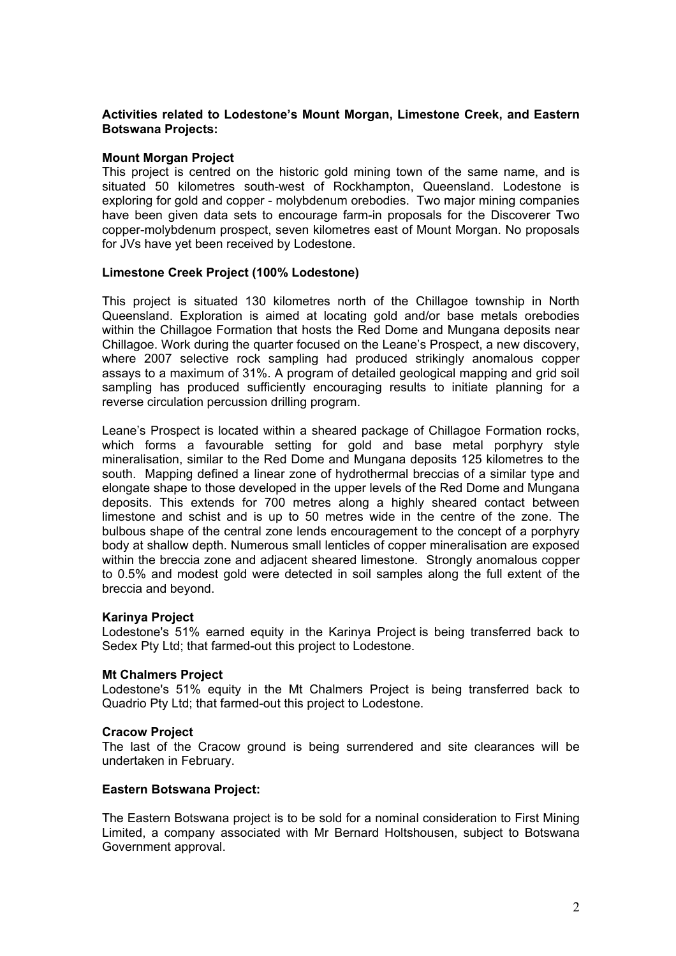## **Activities related to Lodestone's Mount Morgan, Limestone Creek, and Eastern Botswana Projects:**

#### **Mount Morgan Project**

This project is centred on the historic gold mining town of the same name, and is situated 50 kilometres south-west of Rockhampton, Queensland. Lodestone is exploring for gold and copper - molybdenum orebodies. Two major mining companies have been given data sets to encourage farm-in proposals for the Discoverer Two copper-molybdenum prospect, seven kilometres east of Mount Morgan. No proposals for JVs have yet been received by Lodestone.

## **Limestone Creek Project (100% Lodestone)**

This project is situated 130 kilometres north of the Chillagoe township in North Queensland. Exploration is aimed at locating gold and/or base metals orebodies within the Chillagoe Formation that hosts the Red Dome and Mungana deposits near Chillagoe. Work during the quarter focused on the Leane's Prospect, a new discovery, where 2007 selective rock sampling had produced strikingly anomalous copper assays to a maximum of 31%. A program of detailed geological mapping and grid soil sampling has produced sufficiently encouraging results to initiate planning for a reverse circulation percussion drilling program.

Leane's Prospect is located within a sheared package of Chillagoe Formation rocks, which forms a favourable setting for gold and base metal porphyry style mineralisation, similar to the Red Dome and Mungana deposits 125 kilometres to the south. Mapping defined a linear zone of hydrothermal breccias of a similar type and elongate shape to those developed in the upper levels of the Red Dome and Mungana deposits. This extends for 700 metres along a highly sheared contact between limestone and schist and is up to 50 metres wide in the centre of the zone. The bulbous shape of the central zone lends encouragement to the concept of a porphyry body at shallow depth. Numerous small lenticles of copper mineralisation are exposed within the breccia zone and adjacent sheared limestone. Strongly anomalous copper to 0.5% and modest gold were detected in soil samples along the full extent of the breccia and beyond.

#### **Karinya Project**

Lodestone's 51% earned equity in the Karinya Project is being transferred back to Sedex Pty Ltd; that farmed-out this project to Lodestone.

#### **Mt Chalmers Project**

Lodestone's 51% equity in the Mt Chalmers Project is being transferred back to Quadrio Pty Ltd; that farmed-out this project to Lodestone.

#### **Cracow Project**

The last of the Cracow ground is being surrendered and site clearances will be undertaken in February.

#### **Eastern Botswana Project:**

The Eastern Botswana project is to be sold for a nominal consideration to First Mining Limited, a company associated with Mr Bernard Holtshousen, subject to Botswana Government approval.